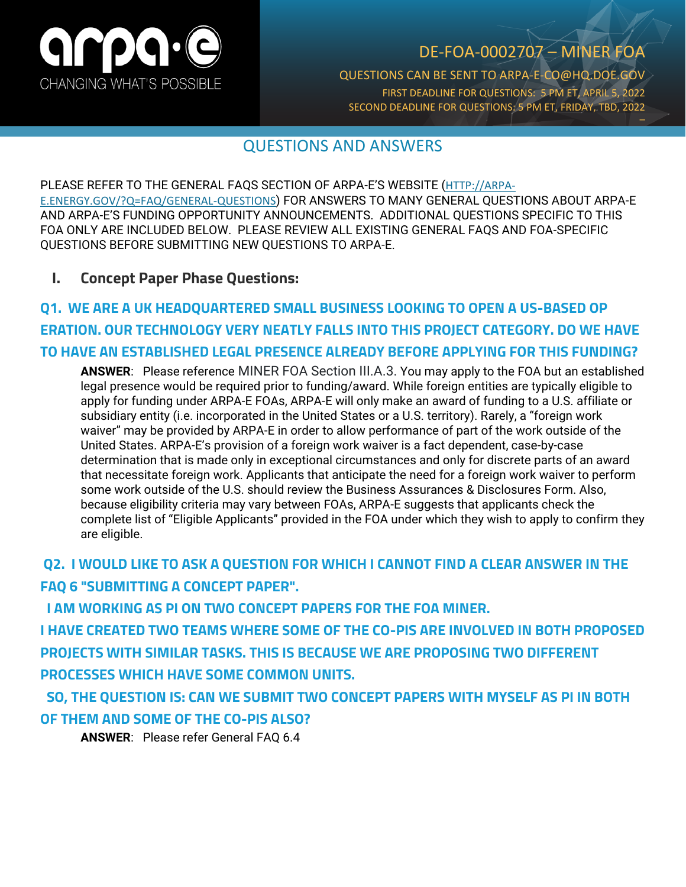

## DE-FOA-0002707 – MINER FOA

QUESTIONS CAN BE SENT TO ARPA-E-CO@HQ.DOE.GOV FIRST DEADLINE FOR QUESTIONS: 5 PM ET, APRIL 5, 2022 SECOND DEADLINE FOR QUESTIONS: 5 PM ET, FRIDAY, TBD, 2022 \_

### QUESTIONS AND ANSWERS

PLEASE REFER TO THE GENERAL FAQS SECTION OF ARPA-E'S WEBSITE ([HTTP://ARPA-](http://arpa-e.energy.gov/?Q=FAQ/GENERAL-QUESTIONS)[E.ENERGY.GOV/?Q=FAQ/GENERAL-QUESTIONS](http://arpa-e.energy.gov/?Q=FAQ/GENERAL-QUESTIONS)) FOR ANSWERS TO MANY GENERAL QUESTIONS ABOUT ARPA-E AND ARPA-E'S FUNDING OPPORTUNITY ANNOUNCEMENTS. ADDITIONAL QUESTIONS SPECIFIC TO THIS FOA ONLY ARE INCLUDED BELOW. PLEASE REVIEW ALL EXISTING GENERAL FAQS AND FOA-SPECIFIC QUESTIONS BEFORE SUBMITTING NEW QUESTIONS TO ARPA-E.

#### **I. Concept Paper Phase Questions:**

## **Q1. WE ARE A UK HEADQUARTERED SMALL BUSINESS LOOKING TO OPEN A US-BASED OP ERATION. OUR TECHNOLOGY VERY NEATLY FALLS INTO THIS PROJECT CATEGORY. DO WE HAVE TO HAVE AN ESTABLISHED LEGAL PRESENCE ALREADY BEFORE APPLYING FOR THIS FUNDING?**

**ANSWER**: Please reference MINER FOA Section III.A.3. You may apply to the FOA but an established legal presence would be required prior to funding/award. While foreign entities are typically eligible to apply for funding under ARPA-E FOAs, ARPA-E will only make an award of funding to a U.S. affiliate or subsidiary entity (i.e. incorporated in the United States or a U.S. territory). Rarely, a "foreign work waiver" may be provided by ARPA-E in order to allow performance of part of the work outside of the United States. ARPA-E's provision of a foreign work waiver is a fact dependent, case-by-case determination that is made only in exceptional circumstances and only for discrete parts of an award that necessitate foreign work. Applicants that anticipate the need for a foreign work waiver to perform some work outside of the U.S. should review the Business Assurances & Disclosures Form. Also, because eligibility criteria may vary between FOAs, ARPA-E suggests that applicants check the complete list of "Eligible Applicants" provided in the FOA under which they wish to apply to confirm they are eligible.

### **Q2. I WOULD LIKE TO ASK A QUESTION FOR WHICH I CANNOT FIND A CLEAR ANSWER IN THE FAQ 6 "SUBMITTING A CONCEPT PAPER".**

 **I AM WORKING AS PI ON TWO CONCEPT PAPERS FOR THE FOA MINER.**

**I HAVE CREATED TWO TEAMS WHERE SOME OF THE CO-PIS ARE INVOLVED IN BOTH PROPOSED PROJECTS WITH SIMILAR TASKS. THIS IS BECAUSE WE ARE PROPOSING TWO DIFFERENT PROCESSES WHICH HAVE SOME COMMON UNITS.**

 **SO, THE QUESTION IS: CAN WE SUBMIT TWO CONCEPT PAPERS WITH MYSELF AS PI IN BOTH OF THEM AND SOME OF THE CO-PIS ALSO?**

**ANSWER**: Please refer General FAQ 6.4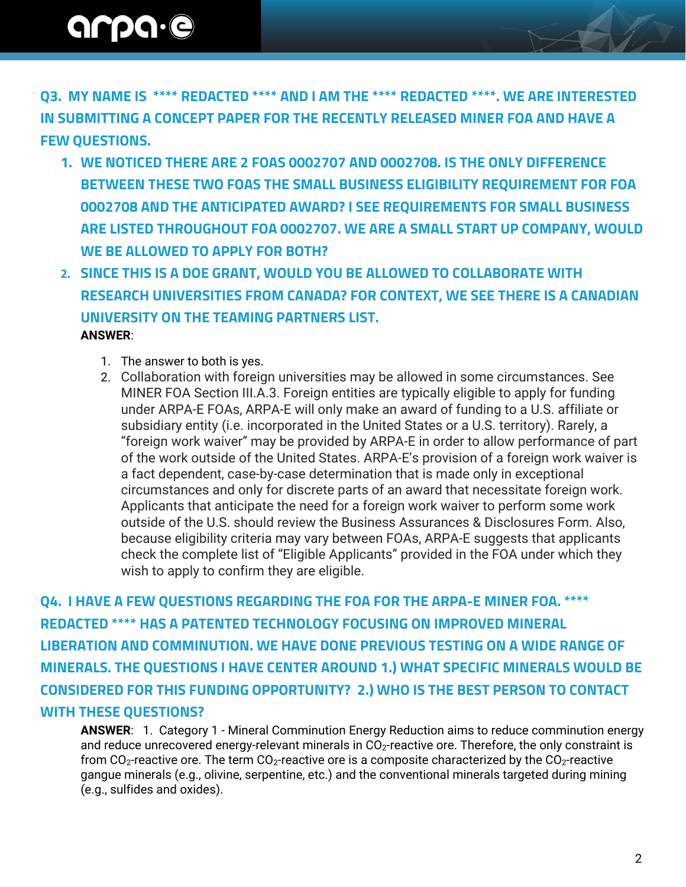# arpa.e

**Q3. MY NAME IS \*\*\*\* REDACTED \*\*\*\* AND I AM THE \*\*\*\* REDACTED \*\*\*\*. WE ARE INTERESTED IN SUBMITTING A CONCEPT PAPER FOR THE RECENTLY RELEASED MINER FOA AND HAVE A FEW QUESTIONS.** 

- **1. WE NOTICED THERE ARE 2 FOAS 0002707 AND 0002708. IS THE ONLY DIFFERENCE BETWEEN THESE TWO FOAS THE SMALL BUSINESS ELIGIBILITY REQUIREMENT FOR FOA 0002708 AND THE ANTICIPATED AWARD? I SEE REQUIREMENTS FOR SMALL BUSINESS ARE LISTED THROUGHOUT FOA 0002707. WE ARE A SMALL START UP COMPANY, WOULD WE BE ALLOWED TO APPLY FOR BOTH?**
- **2. SINCE THIS IS A DOE GRANT, WOULD YOU BE ALLOWED TO COLLABORATE WITH RESEARCH UNIVERSITIES FROM CANADA? FOR CONTEXT, WE SEE THERE IS A CANADIAN UNIVERSITY ON THE TEAMING PARTNERS LIST. ANSWER**:
	- 1. The answer to both is yes.
	- 2. Collaboration with foreign universities may be allowed in some circumstances. See MINER FOA Section III.A.3. Foreign entities are typically eligible to apply for funding under ARPA-E FOAs, ARPA-E will only make an award of funding to a U.S. affiliate or subsidiary entity (i.e. incorporated in the United States or a U.S. territory). Rarely, a "foreign work waiver" may be provided by ARPA-E in order to allow performance of part of the work outside of the United States. ARPA-E's provision of a foreign work waiver is a fact dependent, case-by-case determination that is made only in exceptional circumstances and only for discrete parts of an award that necessitate foreign work. Applicants that anticipate the need for a foreign work waiver to perform some work outside of the U.S. should review the Business Assurances & Disclosures Form. Also, because eligibility criteria may vary between FOAs, ARPA-E suggests that applicants check the complete list of "Eligible Applicants" provided in the FOA under which they wish to apply to confirm they are eligible.

**Q4. I HAVE A FEW QUESTIONS REGARDING THE FOA FOR THE ARPA-E MINER FOA. \*\*\*\* REDACTED \*\*\*\* HAS A PATENTED TECHNOLOGY FOCUSING ON IMPROVED MINERAL LIBERATION AND COMMINUTION. WE HAVE DONE PREVIOUS TESTING ON A WIDE RANGE OF MINERALS. THE QUESTIONS I HAVE CENTER AROUND 1.) WHAT SPECIFIC MINERALS WOULD BE CONSIDERED FOR THIS FUNDING OPPORTUNITY? 2.) WHO IS THE BEST PERSON TO CONTACT WITH THESE QUESTIONS?**

**ANSWER**: 1. Category 1 - Mineral Comminution Energy Reduction aims to reduce comminution energy and reduce unrecovered energy-relevant minerals in  $CO<sub>2</sub>$ -reactive ore. Therefore, the only constraint is from CO<sub>2</sub>-reactive ore. The term CO<sub>2</sub>-reactive ore is a composite characterized by the CO<sub>2</sub>-reactive gangue minerals (e.g., olivine, serpentine, etc.) and the conventional minerals targeted during mining (e.g., sulfides and oxides).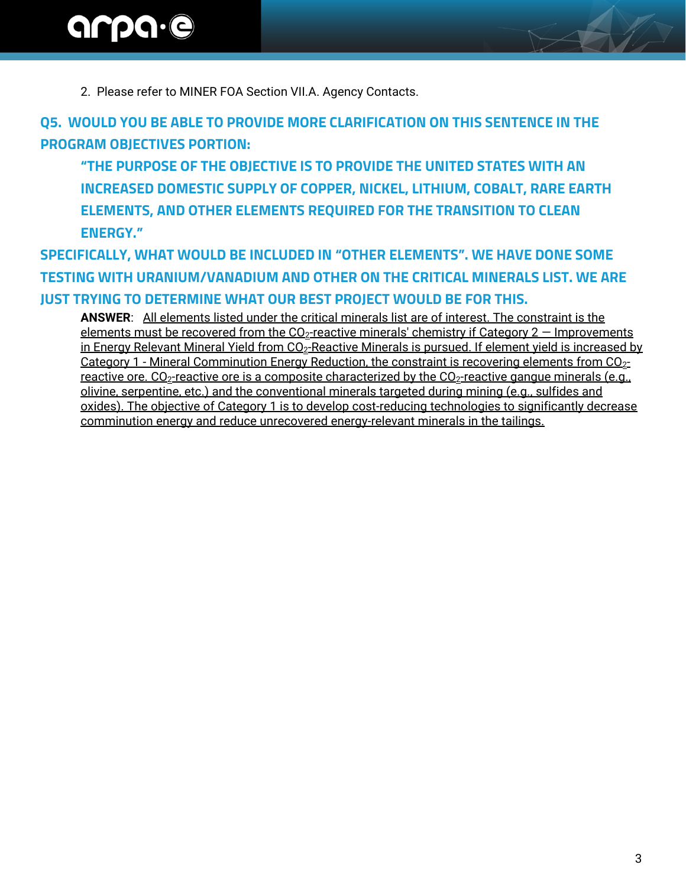2. Please refer to MINER FOA Section VII.A. Agency Contacts.

**Q5. WOULD YOU BE ABLE TO PROVIDE MORE CLARIFICATION ON THIS SENTENCE IN THE PROGRAM OBJECTIVES PORTION:**

**"THE PURPOSE OF THE OBJECTIVE IS TO PROVIDE THE UNITED STATES WITH AN INCREASED DOMESTIC SUPPLY OF COPPER, NICKEL, LITHIUM, COBALT, RARE EARTH ELEMENTS, AND OTHER ELEMENTS REQUIRED FOR THE TRANSITION TO CLEAN ENERGY."**

**SPECIFICALLY, WHAT WOULD BE INCLUDED IN "OTHER ELEMENTS". WE HAVE DONE SOME TESTING WITH URANIUM/VANADIUM AND OTHER ON THE CRITICAL MINERALS LIST. WE ARE JUST TRYING TO DETERMINE WHAT OUR BEST PROJECT WOULD BE FOR THIS.**

**ANSWER**: All elements listed under the critical minerals list are of interest. The constraint is the elements must be recovered from the  $CO<sub>2</sub>$ -reactive minerals' chemistry if Category 2 – Improvements in Energy Relevant Mineral Yield from CO<sub>2</sub>-Reactive Minerals is pursued. If element yield is increased by Category 1 - Mineral Comminution Energy Reduction, the constraint is recovering elements from  $CO_{2}$ reactive ore.  $CO_2$ -reactive ore is a composite characterized by the  $CO_2$ -reactive gangue minerals (e.g., olivine, serpentine, etc.) and the conventional minerals targeted during mining (e.g., sulfides and oxides). The objective of Category 1 is to develop cost-reducing technologies to significantly decrease comminution energy and reduce unrecovered energy-relevant minerals in the tailings.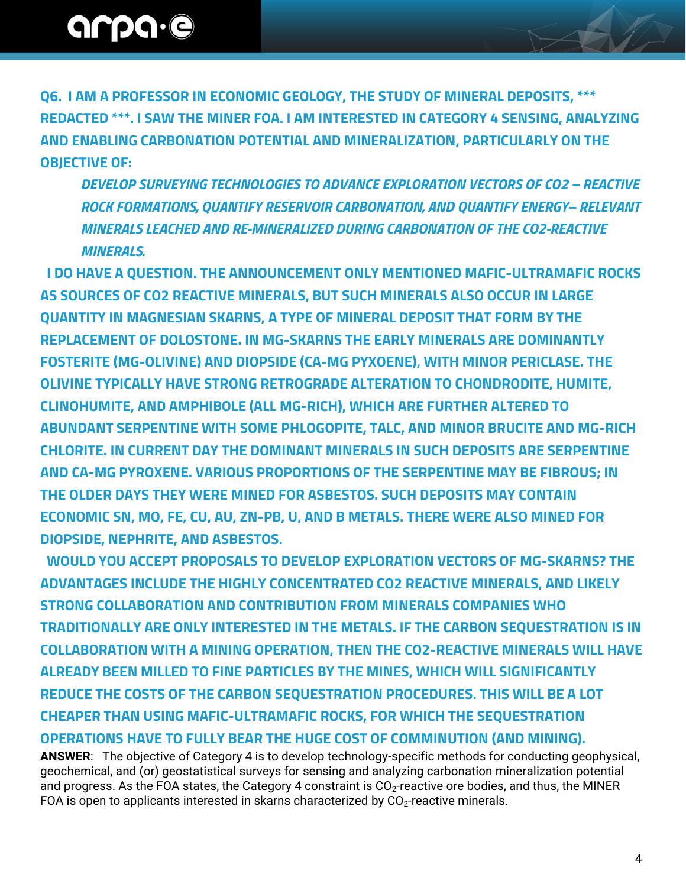**Q6. I AM A PROFESSOR IN ECONOMIC GEOLOGY, THE STUDY OF MINERAL DEPOSITS, \*\*\* REDACTED \*\*\*. I SAW THE MINER FOA. I AM INTERESTED IN CATEGORY 4 SENSING, ANALYZING AND ENABLING CARBONATION POTENTIAL AND MINERALIZATION, PARTICULARLY ON THE OBJECTIVE OF:**

*DEVELOP SURVEYING TECHNOLOGIES TO ADVANCE EXPLORATION VECTORS OF CO2 – REACTIVE ROCK FORMATIONS, QUANTIFY RESERVOIR CARBONATION, AND QUANTIFY ENERGY– RELEVANT MINERALS LEACHED AND RE-MINERALIZED DURING CARBONATION OF THE CO2-REACTIVE MINERALS.*

 **I DO HAVE A QUESTION. THE ANNOUNCEMENT ONLY MENTIONED MAFIC-ULTRAMAFIC ROCKS AS SOURCES OF CO2 REACTIVE MINERALS, BUT SUCH MINERALS ALSO OCCUR IN LARGE QUANTITY IN MAGNESIAN SKARNS, A TYPE OF MINERAL DEPOSIT THAT FORM BY THE REPLACEMENT OF DOLOSTONE. IN MG-SKARNS THE EARLY MINERALS ARE DOMINANTLY FOSTERITE (MG-OLIVINE) AND DIOPSIDE (CA-MG PYXOENE), WITH MINOR PERICLASE. THE OLIVINE TYPICALLY HAVE STRONG RETROGRADE ALTERATION TO CHONDRODITE, HUMITE, CLINOHUMITE, AND AMPHIBOLE (ALL MG-RICH), WHICH ARE FURTHER ALTERED TO ABUNDANT SERPENTINE WITH SOME PHLOGOPITE, TALC, AND MINOR BRUCITE AND MG-RICH CHLORITE. IN CURRENT DAY THE DOMINANT MINERALS IN SUCH DEPOSITS ARE SERPENTINE AND CA-MG PYROXENE. VARIOUS PROPORTIONS OF THE SERPENTINE MAY BE FIBROUS; IN THE OLDER DAYS THEY WERE MINED FOR ASBESTOS. SUCH DEPOSITS MAY CONTAIN ECONOMIC SN, MO, FE, CU, AU, ZN-PB, U, AND B METALS. THERE WERE ALSO MINED FOR DIOPSIDE, NEPHRITE, AND ASBESTOS.**

 **WOULD YOU ACCEPT PROPOSALS TO DEVELOP EXPLORATION VECTORS OF MG-SKARNS? THE ADVANTAGES INCLUDE THE HIGHLY CONCENTRATED CO2 REACTIVE MINERALS, AND LIKELY STRONG COLLABORATION AND CONTRIBUTION FROM MINERALS COMPANIES WHO TRADITIONALLY ARE ONLY INTERESTED IN THE METALS. IF THE CARBON SEQUESTRATION IS IN COLLABORATION WITH A MINING OPERATION, THEN THE CO2-REACTIVE MINERALS WILL HAVE ALREADY BEEN MILLED TO FINE PARTICLES BY THE MINES, WHICH WILL SIGNIFICANTLY REDUCE THE COSTS OF THE CARBON SEQUESTRATION PROCEDURES. THIS WILL BE A LOT CHEAPER THAN USING MAFIC-ULTRAMAFIC ROCKS, FOR WHICH THE SEQUESTRATION OPERATIONS HAVE TO FULLY BEAR THE HUGE COST OF COMMINUTION (AND MINING).**

**ANSWER**: The objective of Category 4 is to develop technology-specific methods for conducting geophysical, geochemical, and (or) geostatistical surveys for sensing and analyzing carbonation mineralization potential and progress. As the FOA states, the Category 4 constraint is  $CO<sub>2</sub>$ -reactive ore bodies, and thus, the MINER FOA is open to applicants interested in skarns characterized by  $CO<sub>2</sub>$ -reactive minerals.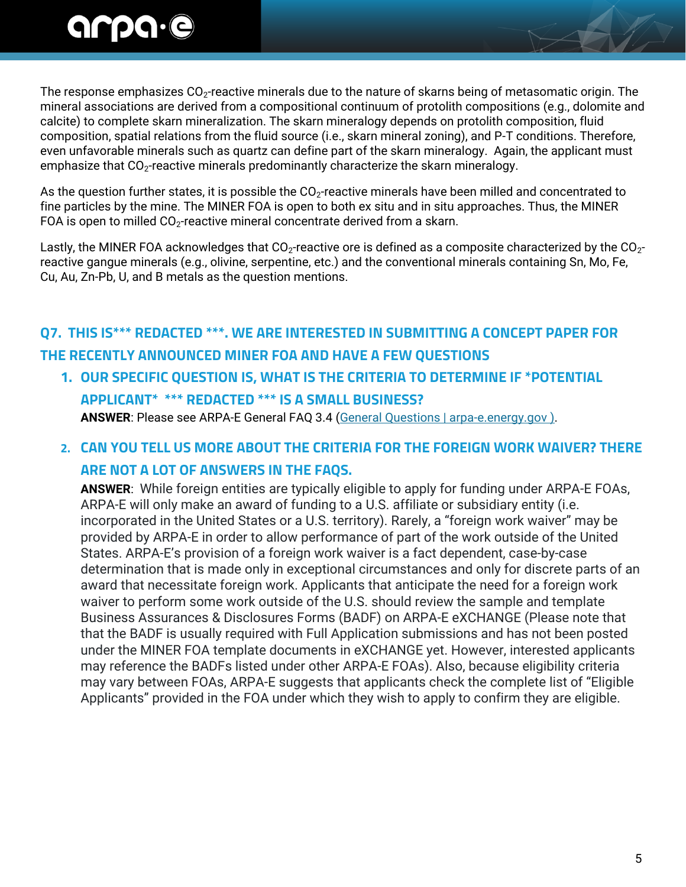# arpa.e

The response emphasizes  $CO_2$ -reactive minerals due to the nature of skarns being of metasomatic origin. The mineral associations are derived from a compositional continuum of protolith compositions (e.g., dolomite and calcite) to complete skarn mineralization. The skarn mineralogy depends on protolith composition, fluid composition, spatial relations from the fluid source (i.e., skarn mineral zoning), and P-T conditions. Therefore, even unfavorable minerals such as quartz can define part of the skarn mineralogy. Again, the applicant must emphasize that  $CO_2$ -reactive minerals predominantly characterize the skarn mineralogy.

As the question further states, it is possible the CO<sub>2</sub>-reactive minerals have been milled and concentrated to fine particles by the mine. The MINER FOA is open to both ex situ and in situ approaches. Thus, the MINER FOA is open to milled  $CO<sub>2</sub>$ -reactive mineral concentrate derived from a skarn.

Lastly, the MINER FOA acknowledges that CO<sub>2</sub>-reactive ore is defined as a composite characterized by the CO<sub>2</sub>reactive gangue minerals (e.g., olivine, serpentine, etc.) and the conventional minerals containing Sn, Mo, Fe, Cu, Au, Zn-Pb, U, and B metals as the question mentions.

## **Q7. THIS IS\*\*\* REDACTED \*\*\*. WE ARE INTERESTED IN SUBMITTING A CONCEPT PAPER FOR THE RECENTLY ANNOUNCED MINER FOA AND HAVE A FEW QUESTIONS**

**1. OUR SPECIFIC QUESTION IS, WHAT IS THE CRITERIA TO DETERMINE IF \*POTENTIAL APPLICANT\* \*\*\* REDACTED \*\*\* IS A SMALL BUSINESS? ANSWER**: Please see ARPA-E General FAQ 3.4 [\(General Questions | arpa-e.energy.gov](https://arpa-e.energy.gov/faqs/general-questions) ).

### **2. CAN YOU TELL US MORE ABOUT THE CRITERIA FOR THE FOREIGN WORK WAIVER? THERE ARE NOT A LOT OF ANSWERS IN THE FAQS.**

**ANSWER**: While foreign entities are typically eligible to apply for funding under ARPA-E FOAs, ARPA-E will only make an award of funding to a U.S. affiliate or subsidiary entity (i.e. incorporated in the United States or a U.S. territory). Rarely, a "foreign work waiver" may be provided by ARPA-E in order to allow performance of part of the work outside of the United States. ARPA-E's provision of a foreign work waiver is a fact dependent, case-by-case determination that is made only in exceptional circumstances and only for discrete parts of an award that necessitate foreign work. Applicants that anticipate the need for a foreign work waiver to perform some work outside of the U.S. should review the sample and template Business Assurances & Disclosures Forms (BADF) on ARPA-E eXCHANGE (Please note that that the BADF is usually required with Full Application submissions and has not been posted under the MINER FOA template documents in eXCHANGE yet. However, interested applicants may reference the BADFs listed under other ARPA-E FOAs). Also, because eligibility criteria may vary between FOAs, ARPA-E suggests that applicants check the complete list of "Eligible Applicants" provided in the FOA under which they wish to apply to confirm they are eligible.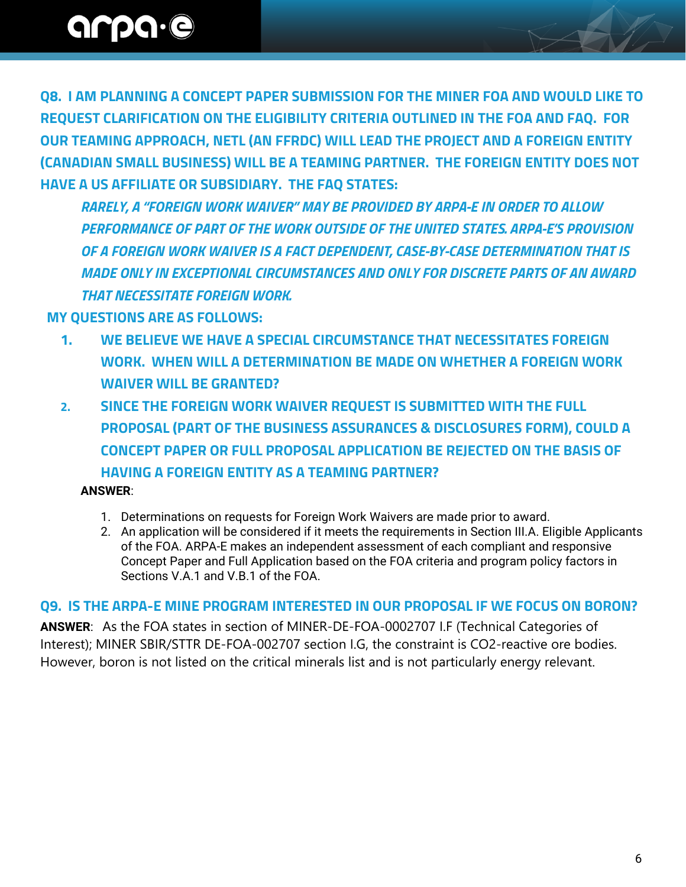**Q8. I AM PLANNING A CONCEPT PAPER SUBMISSION FOR THE MINER FOA AND WOULD LIKE TO REQUEST CLARIFICATION ON THE ELIGIBILITY CRITERIA OUTLINED IN THE FOA AND FAQ. FOR OUR TEAMING APPROACH, NETL (AN FFRDC) WILL LEAD THE PROJECT AND A FOREIGN ENTITY (CANADIAN SMALL BUSINESS) WILL BE A TEAMING PARTNER. THE FOREIGN ENTITY DOES NOT HAVE A US AFFILIATE OR SUBSIDIARY. THE FAQ STATES:**

*RARELY, A "FOREIGN WORK WAIVER" MAY BE PROVIDED BY ARPA-E IN ORDER TO ALLOW PERFORMANCE OF PART OF THE WORK OUTSIDE OF THE UNITED STATES. ARPA-E'S PROVISION OF A FOREIGN WORK WAIVER IS A FACT DEPENDENT, CASE-BY-CASE DETERMINATION THAT IS MADE ONLY IN EXCEPTIONAL CIRCUMSTANCES AND ONLY FOR DISCRETE PARTS OF AN AWARD THAT NECESSITATE FOREIGN WORK.*

 **MY QUESTIONS ARE AS FOLLOWS:**

- **1. WE BELIEVE WE HAVE A SPECIAL CIRCUMSTANCE THAT NECESSITATES FOREIGN WORK. WHEN WILL A DETERMINATION BE MADE ON WHETHER A FOREIGN WORK WAIVER WILL BE GRANTED?**
- **2. SINCE THE FOREIGN WORK WAIVER REQUEST IS SUBMITTED WITH THE FULL PROPOSAL (PART OF THE BUSINESS ASSURANCES & DISCLOSURES FORM), COULD A CONCEPT PAPER OR FULL PROPOSAL APPLICATION BE REJECTED ON THE BASIS OF HAVING A FOREIGN ENTITY AS A TEAMING PARTNER? ANSWER**:
	- 1. Determinations on requests for Foreign Work Waivers are made prior to award.
	- 2. An application will be considered if it meets the requirements in Section III.A. Eligible Applicants of the FOA. ARPA-E makes an independent assessment of each compliant and responsive Concept Paper and Full Application based on the FOA criteria and program policy factors in Sections V.A.1 and V.B.1 of the FOA.

#### **Q9. IS THE ARPA-E MINE PROGRAM INTERESTED IN OUR PROPOSAL IF WE FOCUS ON BORON?**

**ANSWER**: As the FOA states in section of MINER-DE-FOA-0002707 I.F (Technical Categories of Interest); MINER SBIR/STTR DE-FOA-002707 section I.G, the constraint is CO2-reactive ore bodies. However, boron is not listed on the critical minerals list and is not particularly energy relevant.